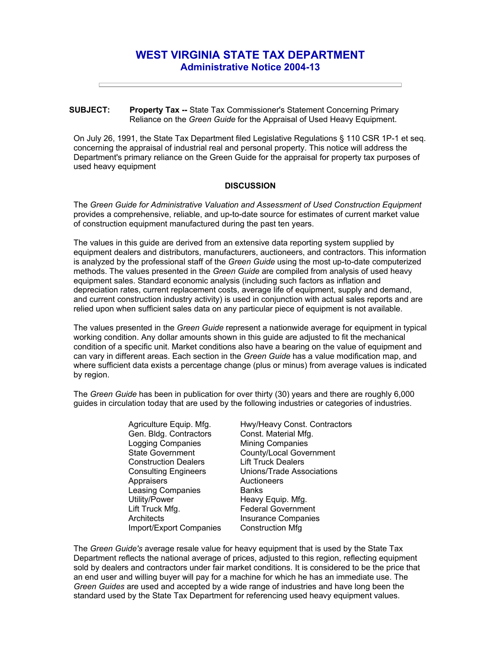## **WEST VIRGINIA STATE TAX DEPARTMENT Administrative Notice 2004-13**

## **SUBJECT: Property Tax --** State Tax Commissioner's Statement Concerning Primary Reliance on the *Green Guide* for the Appraisal of Used Heavy Equipment.

On July 26, 1991, the State Tax Department filed Legislative Regulations § 110 CSR 1P-1 et seq. concerning the appraisal of industrial real and personal property. This notice will address the Department's primary reliance on the Green Guide for the appraisal for property tax purposes of used heavy equipment

## **DISCUSSION**

The *Green Guide for Administrative Valuation and Assessment of Used Construction Equipment*  provides a comprehensive, reliable, and up-to-date source for estimates of current market value of construction equipment manufactured during the past ten years.

The values in this guide are derived from an extensive data reporting system supplied by equipment dealers and distributors, manufacturers, auctioneers, and contractors. This information is analyzed by the professional staff of the *Green Guide* using the most up-to-date computerized methods. The values presented in the *Green Guide* are compiled from analysis of used heavy equipment sales. Standard economic analysis (including such factors as inflation and depreciation rates, current replacement costs, average life of equipment, supply and demand, and current construction industry activity) is used in conjunction with actual sales reports and are relied upon when sufficient sales data on any particular piece of equipment is not available.

The values presented in the *Green Guide* represent a nationwide average for equipment in typical working condition. Any dollar amounts shown in this guide are adjusted to fit the mechanical condition of a specific unit. Market conditions also have a bearing on the value of equipment and can vary in different areas. Each section in the *Green Guide* has a value modification map, and where sufficient data exists a percentage change (plus or minus) from average values is indicated by region.

The *Green Guide* has been in publication for over thirty (30) years and there are roughly 6,000 guides in circulation today that are used by the following industries or categories of industries.

> Agriculture Equip. Mfg. Gen. Bldg. Contractors Logging Companies State Government Construction Dealers Consulting Engineers **Appraisers** Leasing Companies Utility/Power Lift Truck Mfg. **Architects** Import/Export Companies

Hwy/Heavy Const. Contractors Const. Material Mfg. Mining Companies County/Local Government Lift Truck Dealers Unions/Trade Associations **Auctioneers Banks** Heavy Equip. Mfg. Federal Government Insurance Companies Construction Mfg

The *Green Guide's* average resale value for heavy equipment that is used by the State Tax Department reflects the national average of prices, adjusted to this region, reflecting equipment sold by dealers and contractors under fair market conditions. It is considered to be the price that an end user and willing buyer will pay for a machine for which he has an immediate use. The *Green Guides* are used and accepted by a wide range of industries and have long been the standard used by the State Tax Department for referencing used heavy equipment values.